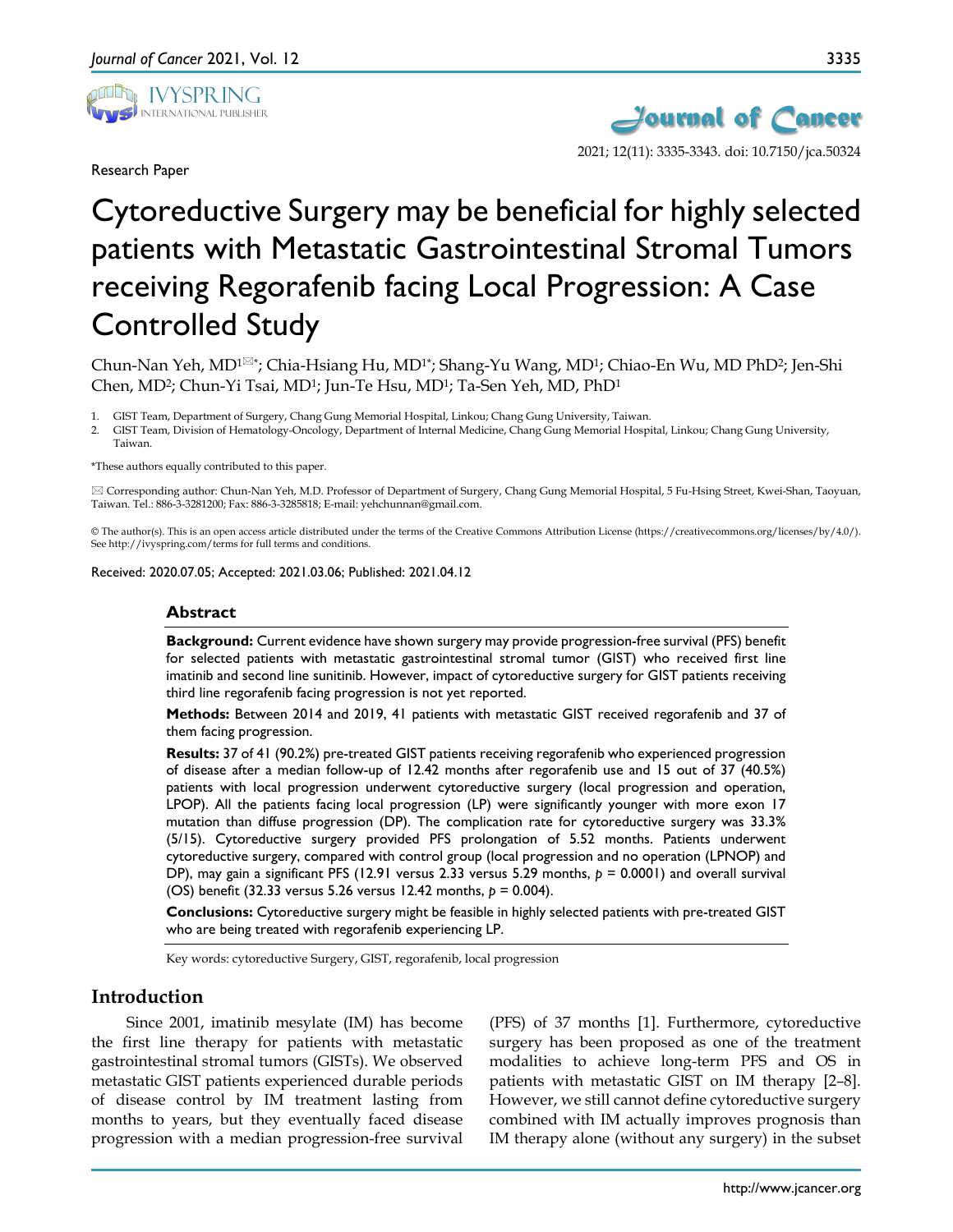

Research Paper



2021; 12(11): 3335-3343. doi: 10.7150/jca.50324

# Cytoreductive Surgery may be beneficial for highly selected patients with Metastatic Gastrointestinal Stromal Tumors receiving Regorafenib facing Local Progression: A Case Controlled Study

Chun-Nan Yeh,  $MD^{1\boxtimes *}$ ; Chia-Hsiang Hu, MD<sup>1</sup><sup>\*</sup>; Shang-Yu Wang, MD<sup>1</sup>; Chiao-En Wu, MD PhD<sup>2</sup>; Jen-Shi Chen, MD2; Chun-Yi Tsai, MD1; Jun-Te Hsu, MD1; Ta-Sen Yeh, MD, PhD1

1. GIST Team, Department of Surgery, Chang Gung Memorial Hospital, Linkou; Chang Gung University, Taiwan.

2. GIST Team, Division of Hematology-Oncology, Department of Internal Medicine, Chang Gung Memorial Hospital, Linkou; Chang Gung University, Taiwan.

\*These authors equally contributed to this paper.

 Corresponding author: Chun-Nan Yeh, M.D. Professor of Department of Surgery, Chang Gung Memorial Hospital, 5 Fu-Hsing Street, Kwei-Shan, Taoyuan, Taiwan. Tel.: 886-3-3281200; Fax: 886-3-3285818; E-mail: yehchunnan@gmail.com.

© The author(s). This is an open access article distributed under the terms of the Creative Commons Attribution License (https://creativecommons.org/licenses/by/4.0/). See http://ivyspring.com/terms for full terms and conditions.

Received: 2020.07.05; Accepted: 2021.03.06; Published: 2021.04.12

#### **Abstract**

**Background:** Current evidence have shown surgery may provide progression-free survival (PFS) benefit for selected patients with metastatic gastrointestinal stromal tumor (GIST) who received first line imatinib and second line sunitinib. However, impact of cytoreductive surgery for GIST patients receiving third line regorafenib facing progression is not yet reported.

**Methods:** Between 2014 and 2019, 41 patients with metastatic GIST received regorafenib and 37 of them facing progression.

**Results:** 37 of 41 (90.2%) pre-treated GIST patients receiving regorafenib who experienced progression of disease after a median follow-up of 12.42 months after regorafenib use and 15 out of 37 (40.5%) patients with local progression underwent cytoreductive surgery (local progression and operation, LPOP). All the patients facing local progression (LP) were significantly younger with more exon 17 mutation than diffuse progression (DP). The complication rate for cytoreductive surgery was 33.3% (5/15). Cytoreductive surgery provided PFS prolongation of 5.52 months. Patients underwent cytoreductive surgery, compared with control group (local progression and no operation (LPNOP) and DP), may gain a significant PFS (12.91 versus 2.33 versus 5.29 months,  $p = 0.0001$ ) and overall survival (OS) benefit (32.33 versus 5.26 versus 12.42 months, *p* = 0.004).

**Conclusions:** Cytoreductive surgery might be feasible in highly selected patients with pre-treated GIST who are being treated with regorafenib experiencing LP.

Key words: cytoreductive Surgery, GIST, regorafenib, local progression

## **Introduction**

Since 2001, imatinib mesylate (IM) has become the first line therapy for patients with metastatic gastrointestinal stromal tumors (GISTs). We observed metastatic GIST patients experienced durable periods of disease control by IM treatment lasting from months to years, but they eventually faced disease progression with a median progression-free survival

(PFS) of 37 months [1]. Furthermore, cytoreductive surgery has been proposed as one of the treatment modalities to achieve long-term PFS and OS in patients with metastatic GIST on IM therapy [2–8]. However, we still cannot define cytoreductive surgery combined with IM actually improves prognosis than IM therapy alone (without any surgery) in the subset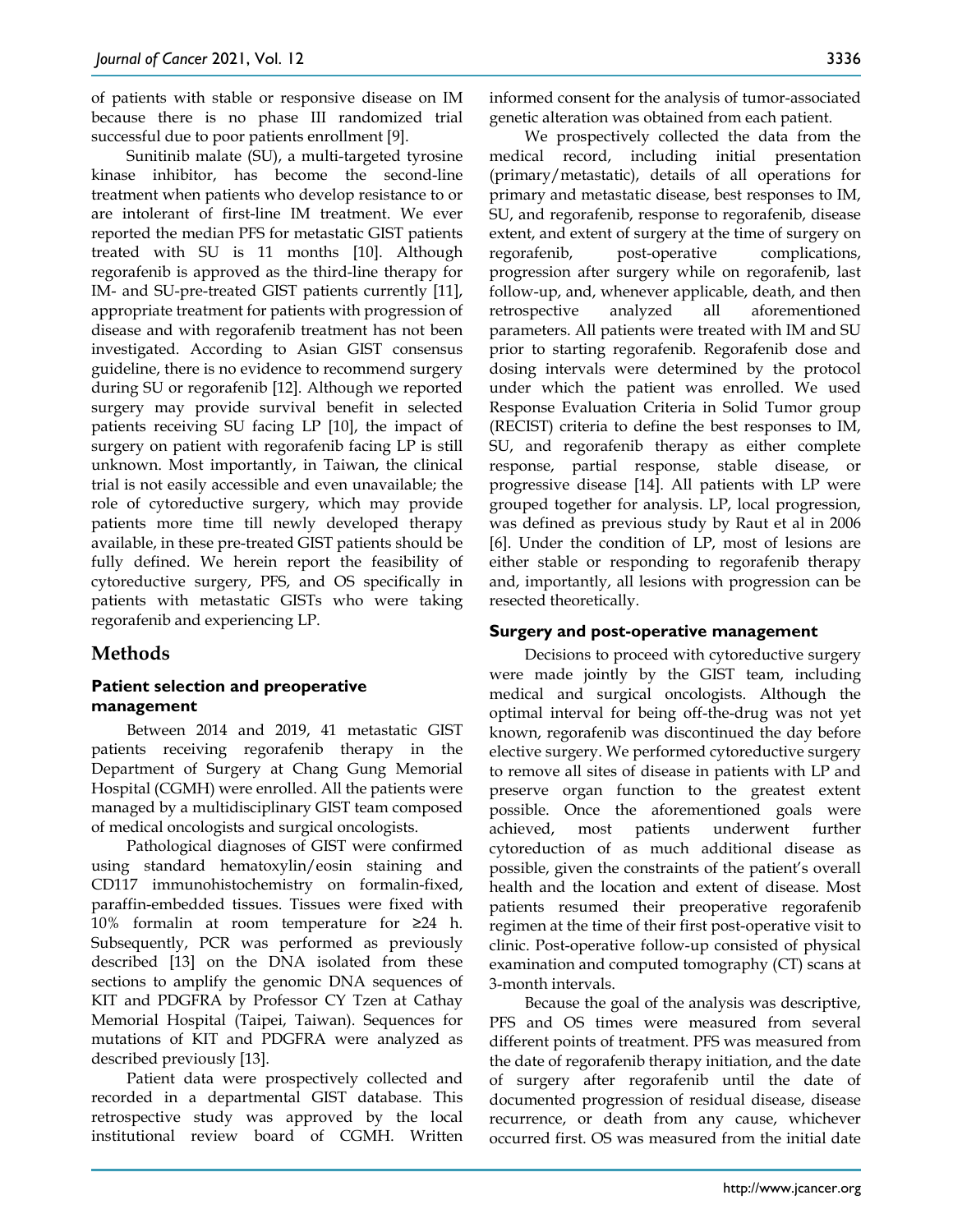of patients with stable or responsive disease on IM because there is no phase III randomized trial successful due to poor patients enrollment [9].

Sunitinib malate (SU), a multi-targeted tyrosine kinase inhibitor, has become the second-line treatment when patients who develop resistance to or are intolerant of first-line IM treatment. We ever reported the median PFS for metastatic GIST patients treated with SU is 11 months [10]. Although regorafenib is approved as the third-line therapy for IM- and SU-pre-treated GIST patients currently [11], appropriate treatment for patients with progression of disease and with regorafenib treatment has not been investigated. According to Asian GIST consensus guideline, there is no evidence to recommend surgery during SU or regorafenib [12]. Although we reported surgery may provide survival benefit in selected patients receiving SU facing LP [10], the impact of surgery on patient with regorafenib facing LP is still unknown. Most importantly, in Taiwan, the clinical trial is not easily accessible and even unavailable; the role of cytoreductive surgery, which may provide patients more time till newly developed therapy available, in these pre-treated GIST patients should be fully defined. We herein report the feasibility of cytoreductive surgery, PFS, and OS specifically in patients with metastatic GISTs who were taking regorafenib and experiencing LP.

## **Methods**

## **Patient selection and preoperative management**

Between 2014 and 2019, 41 metastatic GIST patients receiving regorafenib therapy in the Department of Surgery at Chang Gung Memorial Hospital (CGMH) were enrolled. All the patients were managed by a multidisciplinary GIST team composed of medical oncologists and surgical oncologists.

Pathological diagnoses of GIST were confirmed using standard hematoxylin/eosin staining and CD117 immunohistochemistry on formalin-fixed, paraffin-embedded tissues. Tissues were fixed with 10% formalin at room temperature for ≥24 h. Subsequently, PCR was performed as previously described [13] on the DNA isolated from these sections to amplify the genomic DNA sequences of KIT and PDGFRA by Professor CY Tzen at Cathay Memorial Hospital (Taipei, Taiwan). Sequences for mutations of KIT and PDGFRA were analyzed as described previously [13].

Patient data were prospectively collected and recorded in a departmental GIST database. This retrospective study was approved by the local institutional review board of CGMH. Written

informed consent for the analysis of tumor-associated genetic alteration was obtained from each patient.

We prospectively collected the data from the medical record, including initial presentation (primary/metastatic), details of all operations for primary and metastatic disease, best responses to IM, SU, and regorafenib, response to regorafenib, disease extent, and extent of surgery at the time of surgery on regorafenib, post-operative complications, progression after surgery while on regorafenib, last follow-up, and, whenever applicable, death, and then retrospective analyzed all aforementioned parameters. All patients were treated with IM and SU prior to starting regorafenib. Regorafenib dose and dosing intervals were determined by the protocol under which the patient was enrolled. We used Response Evaluation Criteria in Solid Tumor group (RECIST) criteria to define the best responses to IM, SU, and regorafenib therapy as either complete response, partial response, stable disease, or progressive disease [14]. All patients with LP were grouped together for analysis. LP, local progression, was defined as previous study by Raut et al in 2006 [6]. Under the condition of LP, most of lesions are either stable or responding to regorafenib therapy and, importantly, all lesions with progression can be resected theoretically.

## **Surgery and post-operative management**

Decisions to proceed with cytoreductive surgery were made jointly by the GIST team, including medical and surgical oncologists. Although the optimal interval for being off-the-drug was not yet known, regorafenib was discontinued the day before elective surgery. We performed cytoreductive surgery to remove all sites of disease in patients with LP and preserve organ function to the greatest extent possible. Once the aforementioned goals were achieved, most patients underwent further cytoreduction of as much additional disease as possible, given the constraints of the patient's overall health and the location and extent of disease. Most patients resumed their preoperative regorafenib regimen at the time of their first post-operative visit to clinic. Post-operative follow-up consisted of physical examination and computed tomography (CT) scans at 3-month intervals.

Because the goal of the analysis was descriptive, PFS and OS times were measured from several different points of treatment. PFS was measured from the date of regorafenib therapy initiation, and the date of surgery after regorafenib until the date of documented progression of residual disease, disease recurrence, or death from any cause, whichever occurred first. OS was measured from the initial date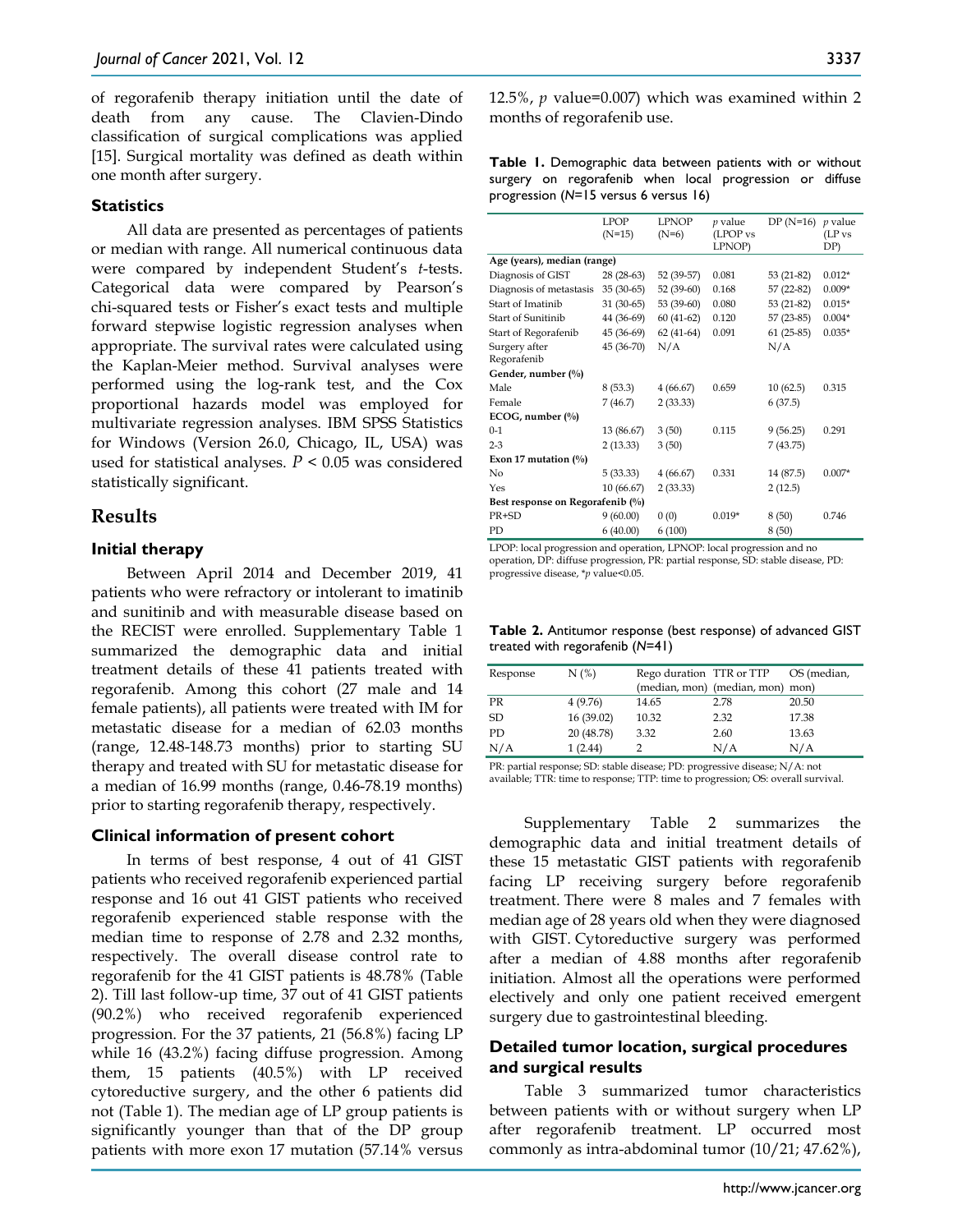of regorafenib therapy initiation until the date of death from any cause. The Clavien-Dindo classification of surgical complications was applied [15]. Surgical mortality was defined as death within one month after surgery.

## **Statistics**

All data are presented as percentages of patients or median with range. All numerical continuous data were compared by independent Student's *t*-tests. Categorical data were compared by Pearson's chi-squared tests or Fisher's exact tests and multiple forward stepwise logistic regression analyses when appropriate. The survival rates were calculated using the Kaplan-Meier method. Survival analyses were performed using the log-rank test, and the Cox proportional hazards model was employed for multivariate regression analyses. IBM SPSS Statistics for Windows (Version 26.0, Chicago, IL, USA) was used for statistical analyses.  $P < 0.05$  was considered statistically significant.

## **Results**

## **Initial therapy**

Between April 2014 and December 2019, 41 patients who were refractory or intolerant to imatinib and sunitinib and with measurable disease based on the RECIST were enrolled. Supplementary Table 1 summarized the demographic data and initial treatment details of these 41 patients treated with regorafenib. Among this cohort (27 male and 14 female patients), all patients were treated with IM for metastatic disease for a median of 62.03 months (range, 12.48-148.73 months) prior to starting SU therapy and treated with SU for metastatic disease for a median of 16.99 months (range, 0.46-78.19 months) prior to starting regorafenib therapy, respectively.

#### **Clinical information of present cohort**

In terms of best response, 4 out of 41 GIST patients who received regorafenib experienced partial response and 16 out 41 GIST patients who received regorafenib experienced stable response with the median time to response of 2.78 and 2.32 months, respectively. The overall disease control rate to regorafenib for the 41 GIST patients is 48.78% (Table 2). Till last follow-up time, 37 out of 41 GIST patients (90.2%) who received regorafenib experienced progression. For the 37 patients, 21 (56.8%) facing LP while 16 (43.2%) facing diffuse progression. Among them, 15 patients (40.5%) with LP received cytoreductive surgery, and the other 6 patients did not (Table 1). The median age of LP group patients is significantly younger than that of the DP group patients with more exon 17 mutation (57.14% versus 12.5%, *p* value=0.007) which was examined within 2 months of regorafenib use.

**Table 1.** Demographic data between patients with or without surgery on regorafenib when local progression or diffuse progression (*N*=15 versus 6 versus 16)

|                                  | <b>LPOP</b><br>$(N=15)$ | <b>LPNOP</b><br>$(N=6)$ | p value<br>(LPOP vs<br>LPNOP) | $DP(N=16)$  | $p$ value<br>(LP <sub>vs</sub><br>DP) |
|----------------------------------|-------------------------|-------------------------|-------------------------------|-------------|---------------------------------------|
|                                  |                         |                         |                               |             |                                       |
| Age (years), median (range)      |                         |                         |                               |             |                                       |
| Diagnosis of GIST                | $28(28-63)$             | 52 (39-57)              | 0.081                         | $53(21-82)$ | $0.012*$                              |
| Diagnosis of metastasis          | $35(30-65)$             | 52 (39-60)              | 0.168                         | 57 (22-82)  | $0.009*$                              |
| Start of Imatinib                | $31(30-65)$             | 53 (39-60)              | 0.080                         | $53(21-82)$ | $0.015*$                              |
| Start of Sunitinib               | 44 (36-69)              | $60(41-62)$             | 0.120                         | $57(23-85)$ | $0.004*$                              |
| Start of Regorafenib             | 45 (36-69)              | $62(41-64)$             | 0.091                         | $61(25-85)$ | $0.035*$                              |
| Surgery after                    | 45 (36-70)              | N/A                     |                               | N/A         |                                       |
| Regorafenib                      |                         |                         |                               |             |                                       |
| Gender, number (%)               |                         |                         |                               |             |                                       |
| Male                             | 8(53.3)                 | 4(66.67)                | 0.659                         | 10(62.5)    | 0.315                                 |
| Female                           | 7(46.7)                 | 2(33.33)                |                               | 6(37.5)     |                                       |
| ECOG, number $(\%)$              |                         |                         |                               |             |                                       |
| $0 - 1$                          | 13 (86.67)              | 3(50)                   | 0.115                         | 9(56.25)    | 0.291                                 |
| $2 - 3$                          | 2(13.33)                | 3(50)                   |                               | 7 (43.75)   |                                       |
| Exon 17 mutation $(\%)$          |                         |                         |                               |             |                                       |
| No                               | 5(33.33)                | 4(66.67)                | 0.331                         | 14 (87.5)   | $0.007*$                              |
| Yes                              | 10(66.67)               | 2(33.33)                |                               | 2(12.5)     |                                       |
| Best response on Regorafenib (%) |                         |                         |                               |             |                                       |
| PR+SD                            | 9(60.00)                | 0(0)                    | $0.019*$                      | 8(50)       | 0.746                                 |
| PD                               | 6(40.00)                | 6(100)                  |                               | 8(50)       |                                       |

LPOP: local progression and operation, LPNOP: local progression and no operation, DP: diffuse progression, PR: partial response, SD: stable disease, PD: progressive disease, \**p* value<0.05.

**Table 2.** Antitumor response (best response) of advanced GIST treated with regorafenib (*N*=41)

| Response | N(%)       | Rego duration TTR or TTP | (median, mon) (median, mon) mon) | OS (median, |
|----------|------------|--------------------------|----------------------------------|-------------|
| PR       | 4(9.76)    | 14.65                    | 2.78                             | 20.50       |
| SD       | 16(39.02)  | 10.32                    | 2.32                             | 17.38       |
| PD.      | 20 (48.78) | 3.32                     | 2.60                             | 13.63       |
| N/A      | 1(2.44)    |                          | N/A                              | N/A         |

PR: partial response; SD: stable disease; PD: progressive disease; N/A: not available; TTR: time to response; TTP: time to progression; OS: overall survival.

Supplementary Table 2 summarizes the demographic data and initial treatment details of these 15 metastatic GIST patients with regorafenib facing LP receiving surgery before regorafenib treatment. There were 8 males and 7 females with median age of 28 years old when they were diagnosed with GIST. Cytoreductive surgery was performed after a median of 4.88 months after regorafenib initiation. Almost all the operations were performed electively and only one patient received emergent surgery due to gastrointestinal bleeding.

### **Detailed tumor location, surgical procedures and surgical results**

Table 3 summarized tumor characteristics between patients with or without surgery when LP after regorafenib treatment. LP occurred most commonly as intra-abdominal tumor (10/21; 47.62%),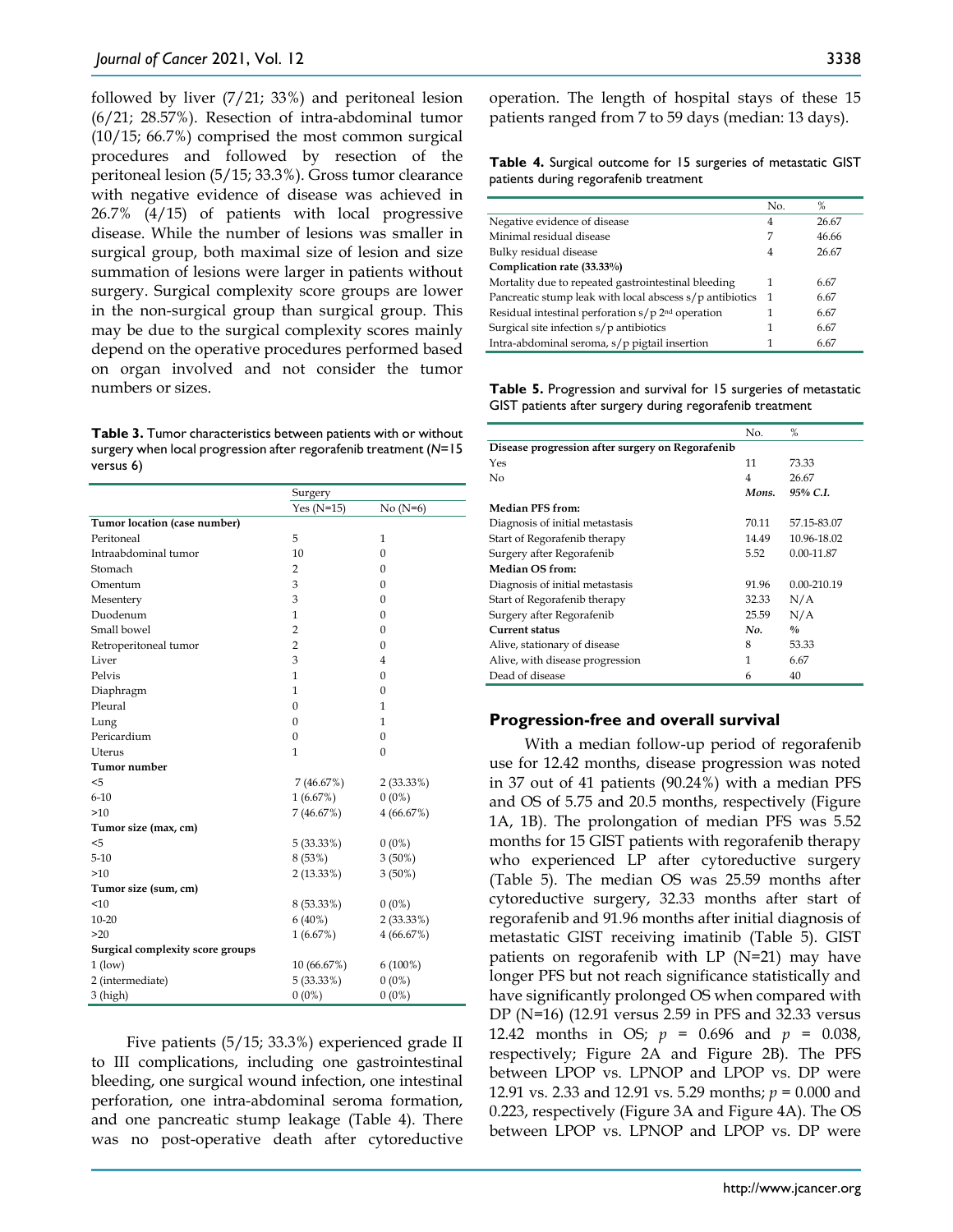followed by liver (7/21; 33%) and peritoneal lesion (6/21; 28.57%). Resection of intra-abdominal tumor (10/15; 66.7%) comprised the most common surgical procedures and followed by resection of the peritoneal lesion (5/15; 33.3%). Gross tumor clearance with negative evidence of disease was achieved in 26.7% (4/15) of patients with local progressive disease. While the number of lesions was smaller in surgical group, both maximal size of lesion and size summation of lesions were larger in patients without surgery. Surgical complexity score groups are lower in the non-surgical group than surgical group. This may be due to the surgical complexity scores mainly depend on the operative procedures performed based on organ involved and not consider the tumor numbers or sizes.

**Table 3.** Tumor characteristics between patients with or without surgery when local progression after regorafenib treatment (*N*=15 versus 6)

|                                  | Surgery        |              |
|----------------------------------|----------------|--------------|
|                                  | Yes $(N=15)$   | $No(N=6)$    |
| Tumor location (case number)     |                |              |
| Peritoneal                       | 5              | 1            |
| Intraabdominal tumor             | 10             | 0            |
| Stomach                          | $\overline{2}$ | 0            |
| Omentum                          | 3              | 0            |
| Mesentery                        | 3              | 0            |
| Duodenum                         | $\mathbf{1}$   | $\mathbf{0}$ |
| Small bowel                      | $\overline{2}$ | 0            |
| Retroperitoneal tumor            | $\overline{2}$ | $\mathbf{0}$ |
| Liver                            | 3              | 4            |
| Pelvis                           | 1              | 0            |
| Diaphragm                        | 1              | 0            |
| Pleural                          | $\mathbf{0}$   | 1            |
| Lung                             | 0              | 1            |
| Pericardium                      | 0              | $\mathbf{0}$ |
| Uterus                           | $\mathbf{1}$   | $\mathbf{0}$ |
| Tumor number                     |                |              |
| $5$                              | 7(46.67%)      | 2(33.33%)    |
| $6 - 10$                         | 1(6.67%)       | $0(0\%)$     |
| >10                              | 7 (46.67%)     | 4(66.67%)    |
| Tumor size (max, cm)             |                |              |
| $5$                              | 5(33.33%)      | $0(0\%)$     |
| $5 - 10$                         | 8 (53%)        | $3(50\%)$    |
| >10                              | 2(13.33%)      | $3(50\%)$    |
| Tumor size (sum, cm)             |                |              |
| < 10                             | 8 (53.33%)     | $0(0\%)$     |
| $10 - 20$                        | $6(40\%)$      | 2(33.33%)    |
| >20                              | 1(6.67%)       | 4(66.67%)    |
| Surgical complexity score groups |                |              |
| $1$ (low)                        | 10 (66.67%)    | $6(100\%)$   |
| 2 (intermediate)                 | 5(33.33%)      | $0(0\%)$     |
| 3 (high)                         | $0(0\%)$       | $0(0\%)$     |

Five patients (5/15; 33.3%) experienced grade II to III complications, including one gastrointestinal bleeding, one surgical wound infection, one intestinal perforation, one intra-abdominal seroma formation, and one pancreatic stump leakage (Table 4). There was no post-operative death after cytoreductive operation. The length of hospital stays of these 15 patients ranged from 7 to 59 days (median: 13 days).

**Table 4.** Surgical outcome for 15 surgeries of metastatic GIST patients during regorafenib treatment

|                                                                 | No. | %     |
|-----------------------------------------------------------------|-----|-------|
| Negative evidence of disease                                    | 4   | 26.67 |
| Minimal residual disease                                        | 7   | 46.66 |
| Bulky residual disease                                          | 4   | 26.67 |
| Complication rate (33.33%)                                      |     |       |
| Mortality due to repeated gastrointestinal bleeding             | 1   | 6.67  |
| Pancreatic stump leak with local abscess s/p antibiotics        | -1  | 6.67  |
| Residual intestinal perforation $s/p$ 2 <sup>nd</sup> operation |     | 6.67  |
| Surgical site infection s/p antibiotics                         | 1   | 6.67  |
| Intra-abdominal seroma, s/p pigtail insertion                   |     | 6.67  |

**Table 5.** Progression and survival for 15 surgeries of metastatic GIST patients after surgery during regorafenib treatment

|                                                  | No.   | %             |
|--------------------------------------------------|-------|---------------|
| Disease progression after surgery on Regorafenib |       |               |
| Yes                                              | 11    | 73.33         |
| No                                               | 4     | 26.67         |
|                                                  | Mons. | 95% C.I.      |
| <b>Median PFS from:</b>                          |       |               |
| Diagnosis of initial metastasis                  | 70.11 | 57.15-83.07   |
| Start of Regorafenib therapy                     | 14.49 | 10.96-18.02   |
| Surgery after Regorafenib                        | 5.52  | 0.00-11.87    |
| <b>Median OS from:</b>                           |       |               |
| Diagnosis of initial metastasis                  | 91.96 | 0.00-210.19   |
| Start of Regorafenib therapy                     | 32.33 | N/A           |
| Surgery after Regorafenib                        | 25.59 | N/A           |
| <b>Current status</b>                            | No.   | $\frac{0}{0}$ |
| Alive, stationary of disease                     | 8     | 53.33         |
| Alive, with disease progression                  | 1     | 6.67          |
| Dead of disease                                  | 6     | 40            |

#### **Progression-free and overall survival**

With a median follow-up period of regorafenib use for 12.42 months, disease progression was noted in 37 out of 41 patients (90.24%) with a median PFS and OS of 5.75 and 20.5 months, respectively (Figure 1A, 1B). The prolongation of median PFS was 5.52 months for 15 GIST patients with regorafenib therapy who experienced LP after cytoreductive surgery (Table 5). The median OS was 25.59 months after cytoreductive surgery, 32.33 months after start of regorafenib and 91.96 months after initial diagnosis of metastatic GIST receiving imatinib (Table 5). GIST patients on regorafenib with LP (N=21) may have longer PFS but not reach significance statistically and have significantly prolonged OS when compared with DP (N=16) (12.91 versus 2.59 in PFS and 32.33 versus 12.42 months in OS; *p* = 0.696 and *p* = 0.038, respectively; Figure 2A and Figure 2B). The PFS between LPOP vs. LPNOP and LPOP vs. DP were 12.91 vs. 2.33 and 12.91 vs. 5.29 months; *p* = 0.000 and 0.223, respectively (Figure 3A and Figure 4A). The OS between LPOP vs. LPNOP and LPOP vs. DP were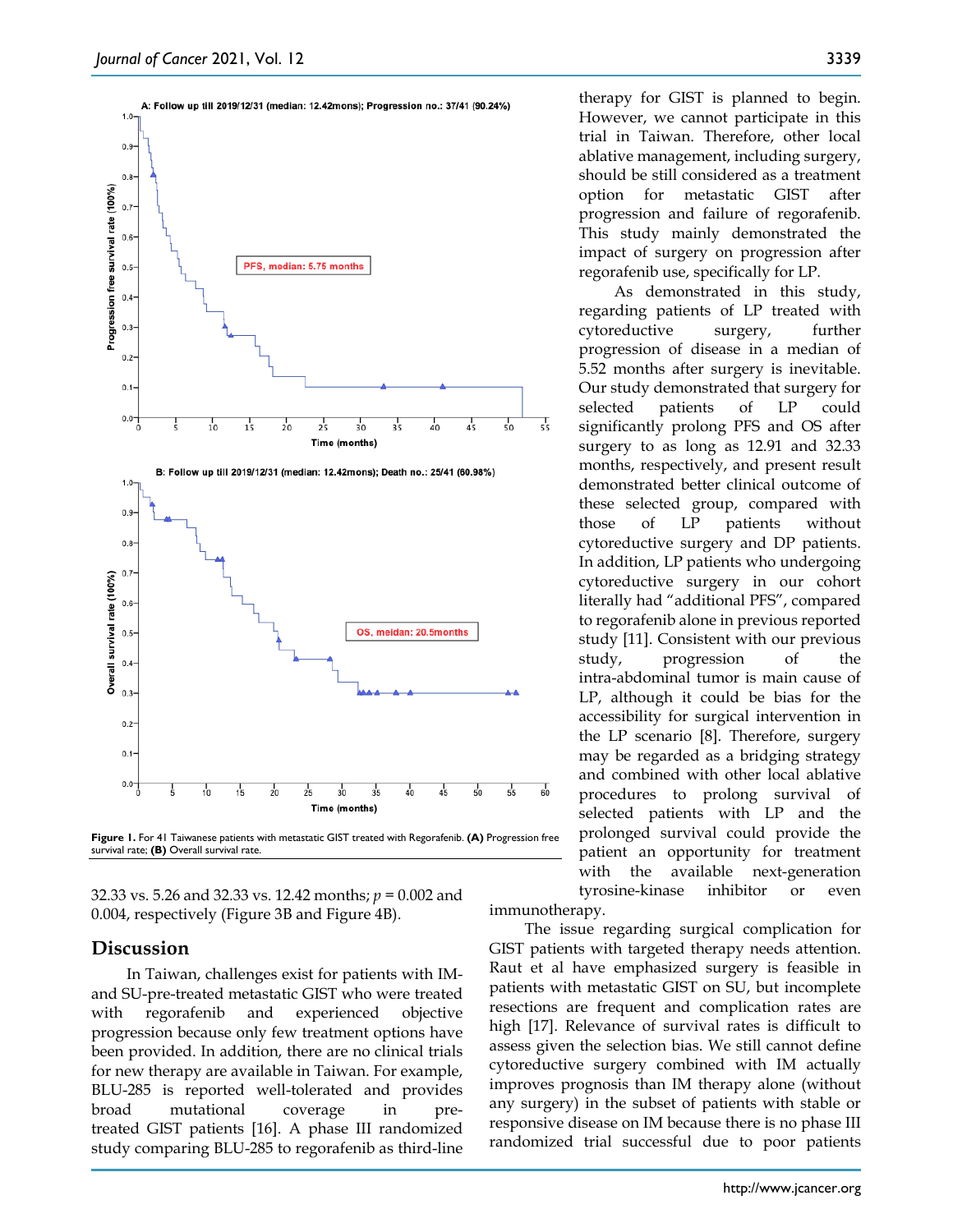

**Figure 1.** For 41 Taiwanese patients with metastatic GIST treated with Regorafenib. **(A)** Progression free survival rate; **(B)** Overall survival rate.

32.33 vs. 5.26 and 32.33 vs. 12.42 months; *p* = 0.002 and 0.004, respectively (Figure 3B and Figure 4B).

## **Discussion**

In Taiwan, challenges exist for patients with IMand SU-pre-treated metastatic GIST who were treated with regorafenib and experienced objective progression because only few treatment options have been provided. In addition, there are no clinical trials for new therapy are available in Taiwan. For example, BLU-285 is reported well-tolerated and provides broad mutational coverage in pretreated GIST patients [16]. A phase III randomized study comparing BLU-285 to regorafenib as third-line therapy for GIST is planned to begin. However, we cannot participate in this trial in Taiwan. Therefore, other local ablative management, including surgery, should be still considered as a treatment option for metastatic GIST after progression and failure of regorafenib. This study mainly demonstrated the impact of surgery on progression after

regorafenib use, specifically for LP. As demonstrated in this study, regarding patients of LP treated with cytoreductive surgery, further progression of disease in a median of 5.52 months after surgery is inevitable. Our study demonstrated that surgery for selected patients of LP could significantly prolong PFS and OS after surgery to as long as 12.91 and 32.33 months, respectively, and present result demonstrated better clinical outcome of these selected group, compared with those of LP patients without cytoreductive surgery and DP patients. In addition, LP patients who undergoing cytoreductive surgery in our cohort literally had "additional PFS", compared to regorafenib alone in previous reported study [11]. Consistent with our previous study, progression of the intra-abdominal tumor is main cause of LP, although it could be bias for the accessibility for surgical intervention in the LP scenario [8]. Therefore, surgery may be regarded as a bridging strategy and combined with other local ablative procedures to prolong survival of selected patients with LP and the prolonged survival could provide the patient an opportunity for treatment with the available next-generation tyrosine-kinase inhibitor or even

immunotherapy.

The issue regarding surgical complication for GIST patients with targeted therapy needs attention. Raut et al have emphasized surgery is feasible in patients with metastatic GIST on SU, but incomplete resections are frequent and complication rates are high [17]. Relevance of survival rates is difficult to assess given the selection bias. We still cannot define cytoreductive surgery combined with IM actually improves prognosis than IM therapy alone (without any surgery) in the subset of patients with stable or responsive disease on IM because there is no phase III randomized trial successful due to poor patients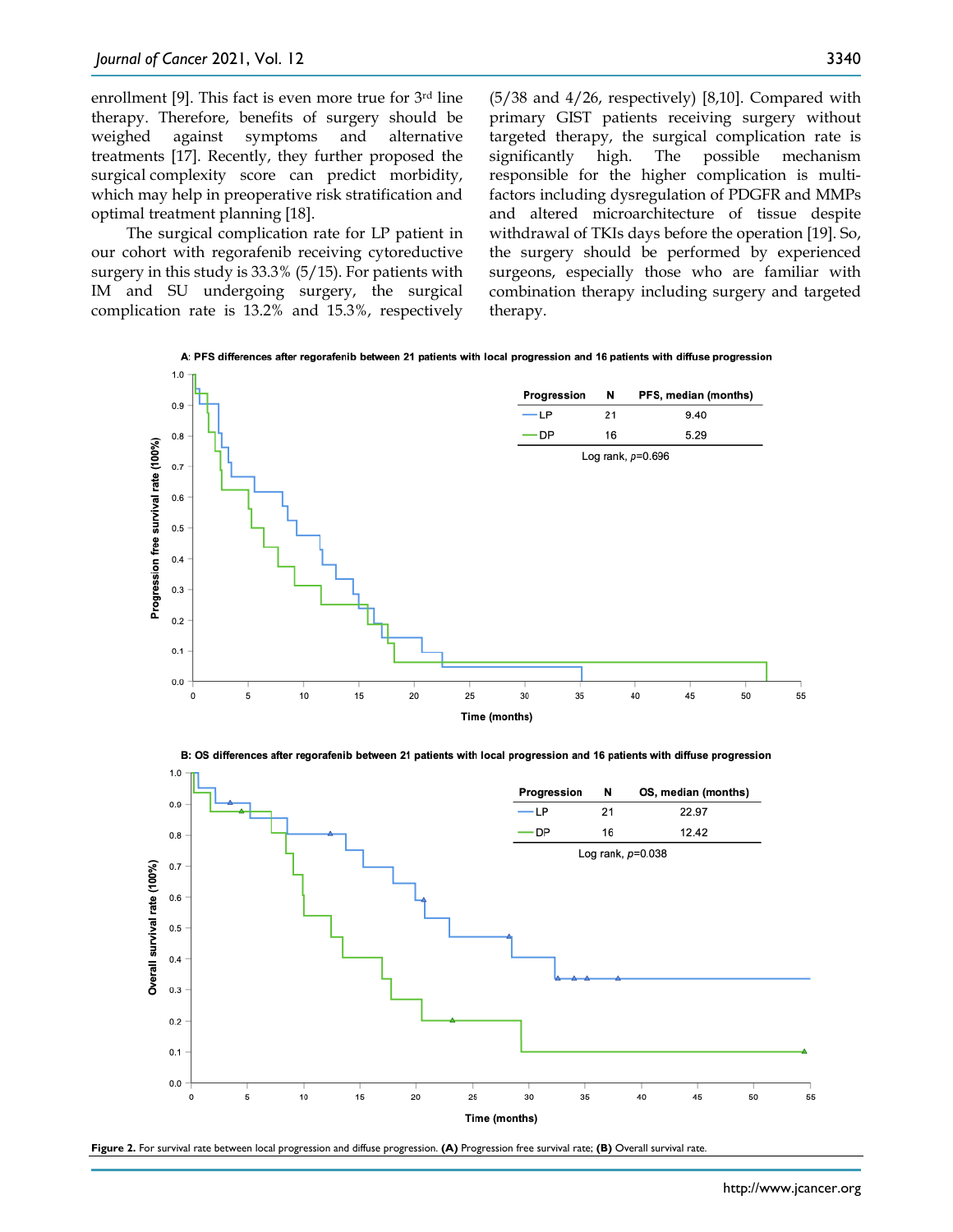enrollment [9]. This fact is even more true for 3<sup>rd</sup> line therapy. Therefore, benefits of surgery should be weighed against symptoms and alternative treatments [17]. Recently, they further proposed the surgical complexity score can predict morbidity, which may help in preoperative risk stratification and optimal treatment planning [18].

The surgical complication rate for LP patient in our cohort with regorafenib receiving cytoreductive surgery in this study is 33.3% (5/15). For patients with IM and SU undergoing surgery, the surgical complication rate is 13.2% and 15.3%, respectively (5/38 and 4/26, respectively) [8,10]. Compared with primary GIST patients receiving surgery without targeted therapy, the surgical complication rate is significantly high. The possible mechanism responsible for the higher complication is multifactors including dysregulation of PDGFR and MMPs and altered microarchitecture of tissue despite withdrawal of TKIs days before the operation [19]. So, the surgery should be performed by experienced surgeons, especially those who are familiar with combination therapy including surgery and targeted therapy.





B: OS differences after regorafenib between 21 patients with local progression and 16 patients with diffuse progression



**Figure 2.** For survival rate between local progression and diffuse progression. **(A)** Progression free survival rate; **(B)** Overall survival rate.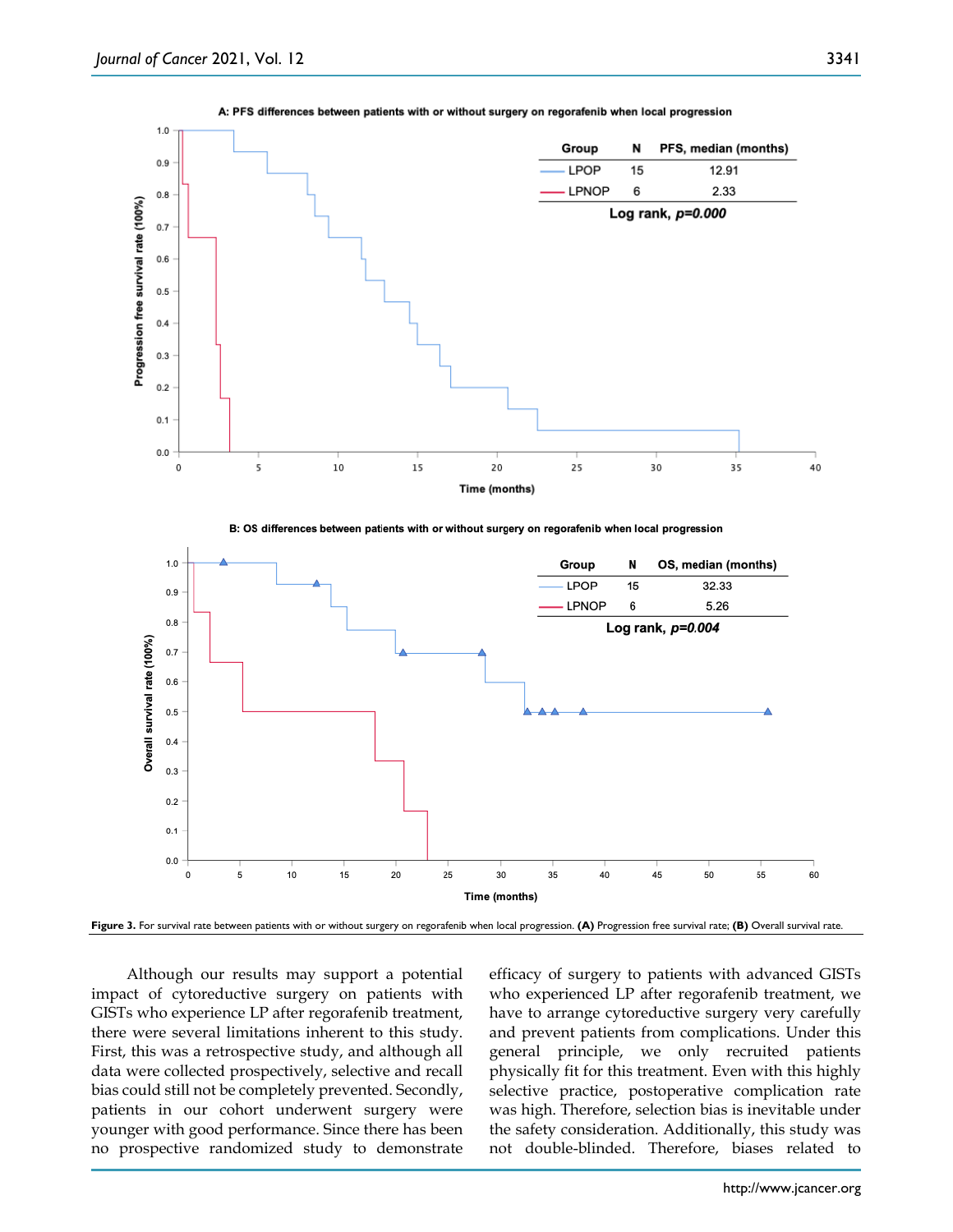

#### A: PFS differences between patients with or without surgery on regorafenib when local progression

**Figure 3.** For survival rate between patients with or without surgery on regorafenib when local progression. **(A)** Progression free survival rate; **(B)** Overall survival rate.

Time (months)

Although our results may support a potential impact of cytoreductive surgery on patients with GISTs who experience LP after regorafenib treatment, there were several limitations inherent to this study. First, this was a retrospective study, and although all data were collected prospectively, selective and recall bias could still not be completely prevented. Secondly, patients in our cohort underwent surgery were younger with good performance. Since there has been no prospective randomized study to demonstrate efficacy of surgery to patients with advanced GISTs who experienced LP after regorafenib treatment, we have to arrange cytoreductive surgery very carefully and prevent patients from complications. Under this general principle, we only recruited patients physically fit for this treatment. Even with this highly selective practice, postoperative complication rate was high. Therefore, selection bias is inevitable under the safety consideration. Additionally, this study was not double-blinded. Therefore, biases related to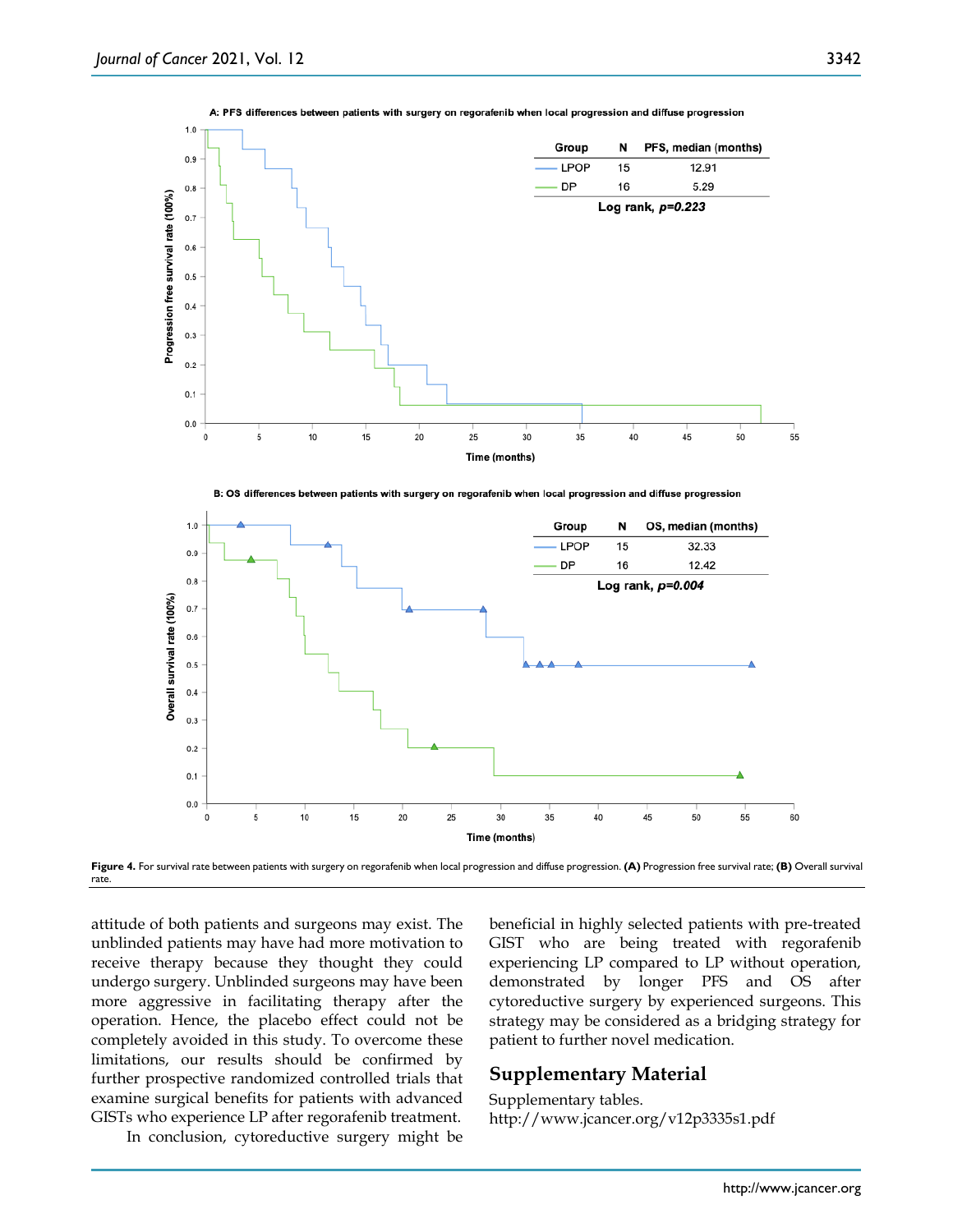

A: PFS differences between patients with surgery on regorafenib when local progression and diffuse progression

B: OS differences between patients with surgery on regorafenib when local progression and diffuse progression



**Figure 4.** For survival rate between patients with surgery on regorafenib when local progression and diffuse progression. **(A)** Progression free survival rate; **(B)** Overall survival rate.

attitude of both patients and surgeons may exist. The unblinded patients may have had more motivation to receive therapy because they thought they could undergo surgery. Unblinded surgeons may have been more aggressive in facilitating therapy after the operation. Hence, the placebo effect could not be completely avoided in this study. To overcome these limitations, our results should be confirmed by further prospective randomized controlled trials that examine surgical benefits for patients with advanced GISTs who experience LP after regorafenib treatment.

In conclusion, cytoreductive surgery might be

beneficial in highly selected patients with pre-treated GIST who are being treated with regorafenib experiencing LP compared to LP without operation, demonstrated by longer PFS and OS after cytoreductive surgery by experienced surgeons. This strategy may be considered as a bridging strategy for patient to further novel medication.

### **Supplementary Material**

Supplementary tables. http://www.jcancer.org/v12p3335s1.pdf